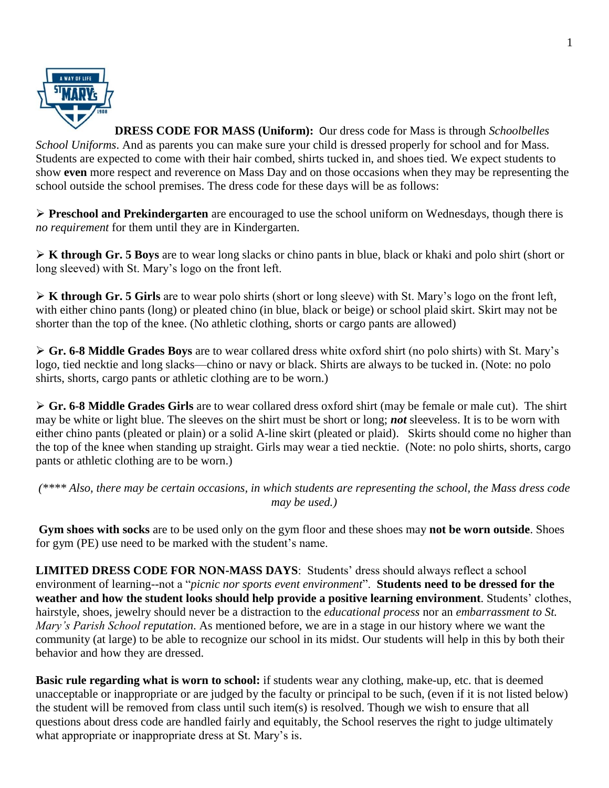

**DRESS CODE FOR MASS (Uniform):** Our dress code for Mass is through *Schoolbelles School Uniforms*. And as parents you can make sure your child is dressed properly for school and for Mass. Students are expected to come with their hair combed, shirts tucked in, and shoes tied. We expect students to show **even** more respect and reverence on Mass Day and on those occasions when they may be representing the school outside the school premises. The dress code for these days will be as follows:

 **Preschool and Prekindergarten** are encouraged to use the school uniform on Wednesdays, though there is *no requirement* for them until they are in Kindergarten.

 **K through Gr. 5 Boys** are to wear long slacks or chino pants in blue, black or khaki and polo shirt (short or long sleeved) with St. Mary's logo on the front left.

 **K through Gr. 5 Girls** are to wear polo shirts (short or long sleeve) with St. Mary's logo on the front left, with either chino pants (long) or pleated chino (in blue, black or beige) or school plaid skirt. Skirt may not be shorter than the top of the knee. (No athletic clothing, shorts or cargo pants are allowed)

 **Gr. 6-8 Middle Grades Boys** are to wear collared dress white oxford shirt (no polo shirts) with St. Mary's logo, tied necktie and long slacks—chino or navy or black. Shirts are always to be tucked in. (Note: no polo shirts, shorts, cargo pants or athletic clothing are to be worn.)

 **Gr. 6-8 Middle Grades Girls** are to wear collared dress oxford shirt (may be female or male cut). The shirt may be white or light blue. The sleeves on the shirt must be short or long; *not* sleeveless. It is to be worn with either chino pants (pleated or plain) or a solid A-line skirt (pleated or plaid). Skirts should come no higher than the top of the knee when standing up straight. Girls may wear a tied necktie. (Note: no polo shirts, shorts, cargo pants or athletic clothing are to be worn.)

*(\*\*\*\* Also, there may be certain occasions, in which students are representing the school, the Mass dress code may be used.)*

**Gym shoes with socks** are to be used only on the gym floor and these shoes may **not be worn outside**. Shoes for gym (PE) use need to be marked with the student's name.

**LIMITED DRESS CODE FOR NON-MASS DAYS**: Students' dress should always reflect a school environment of learning--not a "*picnic nor sports event environment*". **Students need to be dressed for the weather and how the student looks should help provide a positive learning environment**. Students' clothes, hairstyle, shoes, jewelry should never be a distraction to the *educational process* nor an *embarrassment to St. Mary's Parish School reputation*. As mentioned before, we are in a stage in our history where we want the community (at large) to be able to recognize our school in its midst. Our students will help in this by both their behavior and how they are dressed.

**Basic rule regarding what is worn to school:** if students wear any clothing, make-up, etc. that is deemed unacceptable or inappropriate or are judged by the faculty or principal to be such, (even if it is not listed below) the student will be removed from class until such item(s) is resolved. Though we wish to ensure that all questions about dress code are handled fairly and equitably, the School reserves the right to judge ultimately what appropriate or inappropriate dress at St. Mary's is.